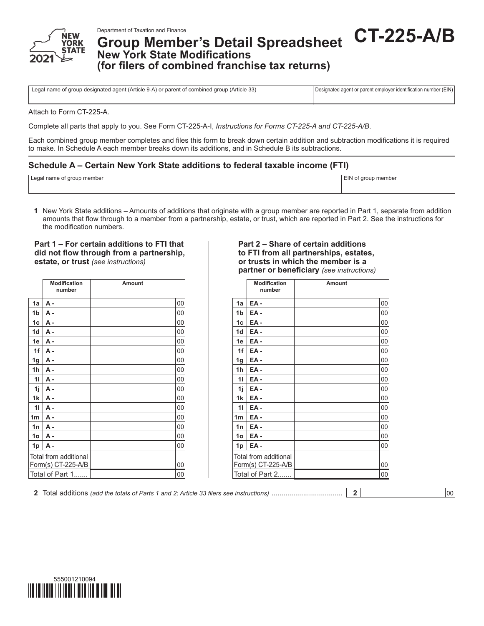

Department of Taxation and Finance<br>**Group Member's Detail Spreadsheet CT-225-A/B New York State Modifications (for filers of combined franchise tax returns)**

Legal name of group designated agent (Article 9-A) or parent of combined group (Article 33) Designated agent or parent employer identification number (EIN)

Attach to Form CT-225-A.

Complete all parts that apply to you. See Form CT-225-A-I, *Instructions for Forms CT-225-A and CT-225-A/B*.

Each combined group member completes and files this form to break down certain addition and subtraction modifications it is required to make. In Schedule A each member breaks down its additions, and in Schedule B its subtractions.

## **Schedule A – Certain New York State additions to federal taxable income (FTI)**

| member י<br>arour<br>$\sim$ $\sim$ $\sim$ $\sim$<br>name or<br>, Leyar<br>$\overline{\phantom{a}}$ | EIN<br>t aroup member<br><br>. |
|----------------------------------------------------------------------------------------------------|--------------------------------|
|                                                                                                    |                                |

**1** New York State additions – Amounts of additions that originate with a group member are reported in Part 1, separate from addition amounts that flow through to a member from a partnership, estate, or trust, which are reported in Part 2. See the instructions for the modification numbers.

#### **Part 1 – For certain additions to FTI that did not flow through from a partnership, estate, or trust** *(see instructions)*

|                | <b>Modification</b><br>number               | <b>Amount</b> |
|----------------|---------------------------------------------|---------------|
| 1a             | <b>A</b> -                                  | 00            |
| 1 <sub>b</sub> | А.                                          | 00            |
| 1c             | А.                                          | 00            |
| 1 <sub>d</sub> | A -                                         | 00            |
| 1e             | A -                                         | 00            |
| 1f             | <b>A</b> -                                  | 00            |
| 1g             | A -                                         | 00            |
| 1 <sub>h</sub> | $A -$                                       | 00            |
| 1i             | A -                                         | 00            |
| 1j             | A -                                         | 00            |
| 1 <sub>k</sub> | А.                                          | 00            |
| 11             | $A -$                                       | 00            |
| 1 <sub>m</sub> | $A -$                                       | 00            |
| 1n             | A -                                         | 00            |
| 1o             | А.                                          | 00            |
| 1p             | $A -$                                       | 00            |
|                | Total from additional<br>Form(s) CT-225-A/B | 00            |
|                | Total of Part 1                             | 00            |

#### **Part 2 – Share of certain additions to FTI from all partnerships, estates, or trusts in which the member is a partner or beneficiary** *(see instructions)*

| Amount |    |  |                | Modification<br>number                      | Amount |    |
|--------|----|--|----------------|---------------------------------------------|--------|----|
|        | 00 |  | 1a             | EA-                                         |        | 00 |
|        | 00 |  | 1 <sub>b</sub> | EA-                                         |        | 00 |
|        | 00 |  | 1c             | EA-                                         |        | 00 |
|        | 00 |  | 1 <sub>d</sub> | EA-                                         |        | 00 |
|        | 00 |  | 1e             | EA-                                         |        | 00 |
|        | 00 |  | 1f             | EA-                                         |        | 00 |
|        | 00 |  | 1g             | EA-                                         |        | 00 |
|        | 00 |  | 1 <sub>h</sub> | EA-                                         |        | 00 |
|        | 00 |  | 1i             | EA-                                         |        | 00 |
|        | 00 |  | 1i             | EA-                                         |        | 00 |
|        | 00 |  | 1 <sub>k</sub> | EA-                                         |        | 00 |
|        | 00 |  | 11             | EA-                                         |        | 00 |
|        | 00 |  | 1 <sub>m</sub> | EA-                                         |        | 00 |
|        | 00 |  | 1n             | EA-                                         |        | 00 |
|        | 00 |  | 1 <sub>o</sub> | EA-                                         |        | 00 |
|        | 00 |  | 1p             | EA-                                         |        | 00 |
|        | 00 |  |                | Total from additional<br>Form(s) CT-225-A/B |        | 00 |
|        | 00 |  |                | Total of Part 2                             |        | 00 |
|        |    |  |                |                                             |        |    |

**2** Total additions *(add the totals of Parts 1 and 2; Article 33 filers see instructions)* .................................... **2** 00